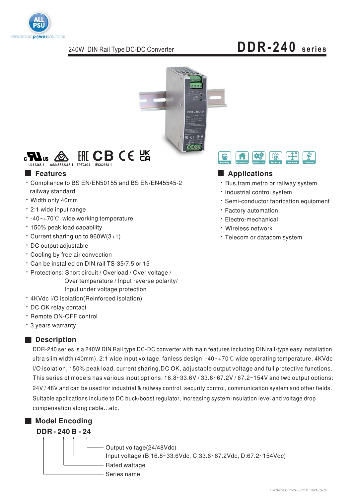

# DDR-240 series



#### $HH$  CB CE  $25$  $\mathbb{R}$  and  $\mathbb{R}$ . AS/NZS62368-1 TPTC004

#### **Features**

- \* Compliance to BS EN/EN50155 and BS EN/EN45545-2 railway standard
- Width only 40mm
- · 2:1 wide input range
- -40∼+70℃ wide working temperature
- · 150% peak load capability
- Current sharing up to 960W(3+1)
- DC output adjustable
- Cooling by free air convection
- \* Can be installed on DIN rail TS-35/7.5 or 15
- · Protections: Short circuit / Overload / Over voltage / Over temperature / Input reverse polarity/ Input under voltage protection
- 4KVdc I/O isolation(Reinforced isolation)
- · DC OK relay contact
- · Remote ON-OFF control
- \* 3 years warranty

#### Description

DDR-240 series is a 240W DIN Rail type DC-DC converter with main features including DIN rail-type easy installation, ultra slim width (40mm), 2:1 wide input voltage, fanless design, -40 $\sim$ +70 $\degree$ C wide operating temperature, 4KVdc I/O isolation, 150% peak load, current sharing, DC OK, adjustable output voltage and full protective functions. This series of models has various input options: 16.8~33.6V / 33.6~67.2V / 67.2~154V and two output options: 24V / 48V and can be used for industrial & railway control, security control, communication system and other fields. Suitable applications include to DC buck/boost regulator, increasing system insulation level and voltage drop compensation along cable...etc.



#### 樱 ₽ A  $\bigcirc$

#### Applications

- · Bus, tram, metro or railway system
- · Industrial control system
- · Semi-conductor fabrication equipment
- · Factory automation
- · Electro-mechanical
- · Wireless network
- · Telecom or datacom system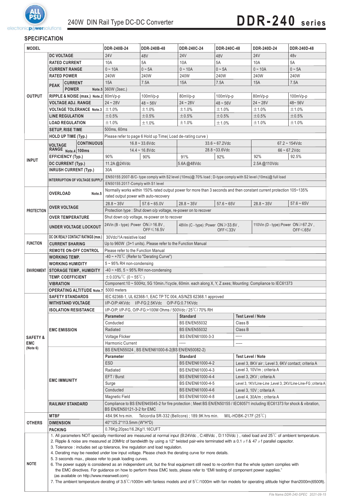

#### **SPECIFICATION**

| <b>MODEL</b>        |                                                                                                                                                          | DDR-240B-24    | DDR-240B-48                                                                                                                                             | DDR-240C-24                                                                                                                                          | DDR-240C-48                                                                                                                                                                           | DDR-240D-24                                         | DDR-240D-48                |                                                                 |                 |  |
|---------------------|----------------------------------------------------------------------------------------------------------------------------------------------------------|----------------|---------------------------------------------------------------------------------------------------------------------------------------------------------|------------------------------------------------------------------------------------------------------------------------------------------------------|---------------------------------------------------------------------------------------------------------------------------------------------------------------------------------------|-----------------------------------------------------|----------------------------|-----------------------------------------------------------------|-----------------|--|
|                     | <b>DC VOLTAGE</b>                                                                                                                                        |                |                                                                                                                                                         | 24 <sub>V</sub>                                                                                                                                      | 48V                                                                                                                                                                                   | <b>24V</b>                                          | 48V                        | <b>24V</b>                                                      | 48 <sub>V</sub> |  |
|                     | <b>RATED CURRENT</b>                                                                                                                                     |                | 10A                                                                                                                                                     | 5A                                                                                                                                                   | 10A                                                                                                                                                                                   | 5A                                                  | 10A                        | 5A                                                              |                 |  |
|                     | <b>CURRENT RANGE</b>                                                                                                                                     |                | $0 - 10A$                                                                                                                                               | $0 \sim 5A$                                                                                                                                          | $0 - 10A$                                                                                                                                                                             | $0 \sim 5A$                                         | $0 - 10A$                  | $0 \sim 5A$                                                     |                 |  |
|                     | <b>RATED POWER</b>                                                                                                                                       |                | 240W                                                                                                                                                    | 240W                                                                                                                                                 | 240W                                                                                                                                                                                  | 240W                                                | 240W                       | 240W                                                            |                 |  |
| <b>OUTPUT</b>       |                                                                                                                                                          | <b>CURRENT</b> |                                                                                                                                                         | <b>15A</b>                                                                                                                                           | 7.5A                                                                                                                                                                                  | 15A                                                 | 7.5A                       | 15A                                                             | 7.5A            |  |
|                     | <b>PEAK</b><br><b>POWER</b>                                                                                                                              |                | Note.5 360W (3sec.)                                                                                                                                     |                                                                                                                                                      |                                                                                                                                                                                       |                                                     |                            |                                                                 |                 |  |
|                     | RIPPLE & NOISE (max.) Note.2 80mVp-p                                                                                                                     |                |                                                                                                                                                         | 100mVp-p                                                                                                                                             | 80mVp-p                                                                                                                                                                               | 100mVp-p                                            | 80mVp-p                    | $100mVp-p$                                                      |                 |  |
|                     | <b>VOLTAGE ADJ. RANGE</b>                                                                                                                                |                | $24 - 28V$                                                                                                                                              | $48 - 56V$                                                                                                                                           | $24 - 28V$                                                                                                                                                                            | $48 - 56V$                                          | $24 - 28V$                 | 48~56V                                                          |                 |  |
|                     | <b>VOLTAGE TOLERANCE Note.3</b>                                                                                                                          |                | ±1.0%                                                                                                                                                   | ±1.0%                                                                                                                                                | ±1.0%                                                                                                                                                                                 | ±1.0%                                               | ±1.0%                      | ±1.0%                                                           |                 |  |
|                     | <b>LINE REGULATION</b>                                                                                                                                   |                | $\pm 0.5\%$                                                                                                                                             | ±0.5%                                                                                                                                                | $\pm 0.5\%$                                                                                                                                                                           | $\pm 0.5\%$                                         | ±0.5%                      | $\pm 0.5\%$                                                     |                 |  |
|                     | <b>LOAD REGULATION</b>                                                                                                                                   |                | ±1.0%                                                                                                                                                   | ±1.0%                                                                                                                                                | ±1.0%                                                                                                                                                                                 | ±1.0%                                               | ±1.0%                      | ±1.0%                                                           |                 |  |
|                     | <b>SETUP, RISE TIME</b>                                                                                                                                  |                |                                                                                                                                                         | 500ms, 60ms                                                                                                                                          |                                                                                                                                                                                       |                                                     |                            |                                                                 |                 |  |
|                     | <b>HOLD UP TIME (Typ.)</b>                                                                                                                               |                |                                                                                                                                                         | Please refer to page 6 Hold up Time(Load de-rating curve)                                                                                            |                                                                                                                                                                                       |                                                     |                            |                                                                 |                 |  |
|                     | <b>CONTINUOUS</b><br><b>VOLTAGE</b><br>RANGE Note.4 100ms                                                                                                |                | $16.8 - 33.6$ Vdc<br>$33.6 - 67.2$ Vdc                                                                                                                  |                                                                                                                                                      |                                                                                                                                                                                       |                                                     |                            | $67.2 \sim 154$ Vdc                                             |                 |  |
|                     |                                                                                                                                                          |                |                                                                                                                                                         | $14.4 - 16.8$ Vdc                                                                                                                                    |                                                                                                                                                                                       | $28.8 - 33.6$ Vdc                                   |                            | $66 - 67.2$ Vdc                                                 |                 |  |
|                     | <b>EFFICIENCY (Typ.)</b>                                                                                                                                 |                |                                                                                                                                                         | 90%                                                                                                                                                  | 90%                                                                                                                                                                                   | 91%                                                 | 92%                        | 92%                                                             | 92.5%           |  |
| <b>INPUT</b>        | DC CURRENT (Typ.)                                                                                                                                        |                |                                                                                                                                                         | 11.2A@24Vdc                                                                                                                                          |                                                                                                                                                                                       | 5.6A@48Vdc                                          |                            | 2.5A@110Vdc                                                     |                 |  |
|                     |                                                                                                                                                          |                | <b>INRUSH CURRENT (Typ.)</b>                                                                                                                            | 30A                                                                                                                                                  |                                                                                                                                                                                       |                                                     |                            |                                                                 |                 |  |
|                     |                                                                                                                                                          |                |                                                                                                                                                         |                                                                                                                                                      |                                                                                                                                                                                       |                                                     |                            |                                                                 |                 |  |
|                     |                                                                                                                                                          |                | <b>INTERRUPTION OF VOLTAGE SUPPLY</b>                                                                                                                   | EN50155:2007-B/C-type comply with S2 level (10ms)@70% load; D-type comply with S2 level (10ms)@full load<br>EN50155:2017-Comply with S1 level        |                                                                                                                                                                                       |                                                     |                            |                                                                 |                 |  |
|                     |                                                                                                                                                          |                |                                                                                                                                                         | Normally works within 150% rated output power for more than 3 seconds and then constant current protection 105~135%                                  |                                                                                                                                                                                       |                                                     |                            |                                                                 |                 |  |
|                     | <b>OVERLOAD</b>                                                                                                                                          |                | Note.5                                                                                                                                                  |                                                                                                                                                      | rated output power with auto-recovery                                                                                                                                                 |                                                     |                            |                                                                 |                 |  |
|                     |                                                                                                                                                          |                |                                                                                                                                                         | $28.8 - 35V$                                                                                                                                         | $57.6 - 65.0V$                                                                                                                                                                        | $28.8 - 35V$                                        | $57.6 - 65V$               | $28.8 - 35V$                                                    | $57.6 - 65V$    |  |
| <b>PROTECTION</b>   | <b>OVER VOLTAGE</b>                                                                                                                                      |                |                                                                                                                                                         |                                                                                                                                                      | Protection type : Shut down o/p voltage, re-power on to recover                                                                                                                       |                                                     |                            |                                                                 |                 |  |
|                     | <b>OVER TEMPERATURE</b>                                                                                                                                  |                |                                                                                                                                                         |                                                                                                                                                      | Shut down o/p voltage, re-power on to recover                                                                                                                                         |                                                     |                            |                                                                 |                 |  |
|                     |                                                                                                                                                          |                |                                                                                                                                                         | 24Vin (B - type) : Power $ON \ge 16.8V$ ,                                                                                                            |                                                                                                                                                                                       | 48Vin (C - type) :Power ON≥33.6V,                   |                            | 110Vin (D - type): Power $ON \ge 67.2V$ ,                       |                 |  |
|                     |                                                                                                                                                          |                | <b>UNDER VOLTAGE LOCKOUT</b>                                                                                                                            |                                                                                                                                                      | OFF $\leq 16.5V$                                                                                                                                                                      |                                                     | $OFF \leq 33V$             |                                                                 | OFF $\leq 65V$  |  |
|                     |                                                                                                                                                          |                | DC OK REALY CONTACT RATINGS (max.)                                                                                                                      | 30Vdc/1A resistive load                                                                                                                              |                                                                                                                                                                                       |                                                     |                            |                                                                 |                 |  |
| <b>FUNCTION</b>     | <b>CURRENT SHARING</b>                                                                                                                                   |                |                                                                                                                                                         |                                                                                                                                                      | Up to 960W (3+1 units). Please refer to the Function Manual                                                                                                                           |                                                     |                            |                                                                 |                 |  |
|                     |                                                                                                                                                          |                | <b>REMOTE ON-OFF CONTROL</b>                                                                                                                            | Please refer to the Function Manual                                                                                                                  |                                                                                                                                                                                       |                                                     |                            |                                                                 |                 |  |
|                     | <b>WORKING TEMP.</b>                                                                                                                                     |                | $-40 \sim +70^{\circ}$ (Refer to "Derating Curve")                                                                                                      |                                                                                                                                                      |                                                                                                                                                                                       |                                                     |                            |                                                                 |                 |  |
|                     | <b>WORKING HUMIDITY</b>                                                                                                                                  |                | $5 \sim 95\%$ RH non-condensing                                                                                                                         |                                                                                                                                                      |                                                                                                                                                                                       |                                                     |                            |                                                                 |                 |  |
| <b>ENVIRONMENT</b>  | <b>STORAGE TEMP., HUMIDITY</b>                                                                                                                           |                | -40 ~ +85, 5 ~ 95% RH non-condensing                                                                                                                    |                                                                                                                                                      |                                                                                                                                                                                       |                                                     |                            |                                                                 |                 |  |
|                     | <b>TEMP. COEFFICIENT</b>                                                                                                                                 |                |                                                                                                                                                         | $\pm 0.03\%$ /°C (0 ~ 55°C)                                                                                                                          |                                                                                                                                                                                       |                                                     |                            |                                                                 |                 |  |
|                     | <b>VIBRATION</b>                                                                                                                                         |                | Component:10 ~ 500Hz, 5G 10min./1cycle, 60min. each along X, Y, Z axes; Mounting: Compliance to IEC61373                                                |                                                                                                                                                      |                                                                                                                                                                                       |                                                     |                            |                                                                 |                 |  |
|                     |                                                                                                                                                          |                | <b>OPERATING ALTITUDE Note.7</b>                                                                                                                        | 5000 meters                                                                                                                                          |                                                                                                                                                                                       |                                                     |                            |                                                                 |                 |  |
|                     | <b>SAFETY STANDARDS</b>                                                                                                                                  |                | IEC 62368-1, UL 62368-1, EAC TP TC 004, AS/NZS 62368.1 approved                                                                                         |                                                                                                                                                      |                                                                                                                                                                                       |                                                     |                            |                                                                 |                 |  |
|                     | <b>WITHSTAND VOLTAGE</b>                                                                                                                                 |                | I/P-O/P:4KVdc I/P-FG:2.5KVdc O/P-FG:0.71KVdc                                                                                                            |                                                                                                                                                      |                                                                                                                                                                                       |                                                     |                            |                                                                 |                 |  |
|                     | <b>ISOLATION RESISTANCE</b>                                                                                                                              |                | I/P-O/P, I/P-FG, O/P-FG:>100M Ohms / 500Vdc / 25°C/70% RH                                                                                               |                                                                                                                                                      |                                                                                                                                                                                       |                                                     |                            |                                                                 |                 |  |
|                     | <b>EMC EMISSION</b>                                                                                                                                      |                | <b>Test Level / Note</b><br>Parameter<br><b>Standard</b>                                                                                                |                                                                                                                                                      |                                                                                                                                                                                       |                                                     |                            |                                                                 |                 |  |
|                     |                                                                                                                                                          |                | Conducted                                                                                                                                               |                                                                                                                                                      | <b>BS EN/EN55032</b>                                                                                                                                                                  |                                                     | Class B                    |                                                                 |                 |  |
|                     |                                                                                                                                                          |                | Radiated                                                                                                                                                |                                                                                                                                                      | <b>BS EN/EN55032</b>                                                                                                                                                                  | Class B                                             |                            |                                                                 |                 |  |
| <b>SAFETY &amp;</b> |                                                                                                                                                          |                |                                                                                                                                                         | Voltage Flicker                                                                                                                                      |                                                                                                                                                                                       | BS EN/EN61000-3-3                                   | -----                      |                                                                 |                 |  |
| <b>EMC</b>          |                                                                                                                                                          |                | <b>Harmonic Current</b><br>-----                                                                                                                        |                                                                                                                                                      |                                                                                                                                                                                       |                                                     |                            |                                                                 |                 |  |
| (Note 6)            |                                                                                                                                                          |                | BS EN/EN55024, BS EN/EN61000-6-2(BS EN/EN50082-2)                                                                                                       |                                                                                                                                                      |                                                                                                                                                                                       |                                                     |                            |                                                                 |                 |  |
|                     | <b>EMC IMMUNITY</b>                                                                                                                                      |                | Parameter                                                                                                                                               |                                                                                                                                                      | <b>Standard</b>                                                                                                                                                                       |                                                     | <b>Test Level / Note</b>   |                                                                 |                 |  |
|                     |                                                                                                                                                          |                | <b>ESD</b>                                                                                                                                              |                                                                                                                                                      | BS EN/EN61000-4-2                                                                                                                                                                     | Level 3, 8KV air ; Level 3, 6KV contact; criteria A |                            |                                                                 |                 |  |
|                     |                                                                                                                                                          |                | Radiated                                                                                                                                                |                                                                                                                                                      | BS EN/EN61000-4-3                                                                                                                                                                     |                                                     | Level 3, 10V/m; criteria A |                                                                 |                 |  |
|                     |                                                                                                                                                          |                | EFT / Burst                                                                                                                                             |                                                                                                                                                      | BS EN/EN61000-4-4                                                                                                                                                                     |                                                     | Level 3, 2KV ; criteria A  |                                                                 |                 |  |
|                     |                                                                                                                                                          |                |                                                                                                                                                         | Surge                                                                                                                                                |                                                                                                                                                                                       | BS EN/EN61000-4-5                                   |                            | Level 3, 1KV/Line-Line ; Level 3, 2KV/Line-Line-FG ; criteria A |                 |  |
|                     |                                                                                                                                                          |                |                                                                                                                                                         | BS EN/EN61000-4-6<br>Conducted<br>Level 3, 10V; criteria A                                                                                           |                                                                                                                                                                                       |                                                     |                            |                                                                 |                 |  |
|                     |                                                                                                                                                          |                | BS EN/EN61000-4-8<br>Level 4, 30A/m; criteria A<br>Magnetic Field                                                                                       |                                                                                                                                                      |                                                                                                                                                                                       |                                                     |                            |                                                                 |                 |  |
|                     | <b>RAILWAY STANDARD</b>                                                                                                                                  |                | Compliance to BS EN/EN45545-2 for fire protection; Meet BS EN/EN50155 / IEC60571 including IEC61373 for shock & vibration,<br>BS EN/EN50121-3-2 for EMC |                                                                                                                                                      |                                                                                                                                                                                       |                                                     |                            |                                                                 |                 |  |
| <b>MTBF</b>         |                                                                                                                                                          |                | 484.9K hrs min.<br>Telcordia SR-332 (Bellcore); 189.9K hrs min.<br>MIL-HDBK-217F $(25^{\circ}C)$                                                        |                                                                                                                                                      |                                                                                                                                                                                       |                                                     |                            |                                                                 |                 |  |
| <b>OTHERS</b>       | <b>DIMENSION</b>                                                                                                                                         |                | 40*125.2*113.5mm (W*H*D)                                                                                                                                |                                                                                                                                                      |                                                                                                                                                                                       |                                                     |                            |                                                                 |                 |  |
|                     | PACKING                                                                                                                                                  |                | 0.76Kg;20psc/16.2Kg/1.16CUFT                                                                                                                            |                                                                                                                                                      |                                                                                                                                                                                       |                                                     |                            |                                                                 |                 |  |
|                     |                                                                                                                                                          |                |                                                                                                                                                         | 1. All parameters NOT specially mentioned are measured at normal input (B:24Vdc, C:48Vdc, D:110Vdc), rated load and 25°C of ambient temperature.     |                                                                                                                                                                                       |                                                     |                            |                                                                 |                 |  |
|                     |                                                                                                                                                          |                |                                                                                                                                                         | 2. Ripple & noise are measured at 20MHz of bandwidth by using a 12" twisted pair-wire terminated with a 0.1 $\mu$ f & 47 $\mu$ f parallel capacitor. |                                                                                                                                                                                       |                                                     |                            |                                                                 |                 |  |
|                     |                                                                                                                                                          |                |                                                                                                                                                         |                                                                                                                                                      | 3. Tolerance: includes set up tolerance, line regulation and load regulation.<br>4. Derating may be needed under low input voltage. Please check the derating curve for more details. |                                                     |                            |                                                                 |                 |  |
|                     |                                                                                                                                                          |                |                                                                                                                                                         | 5. 3 seconds max., please refer to peak loading curves.                                                                                              |                                                                                                                                                                                       |                                                     |                            |                                                                 |                 |  |
| <b>NOTE</b>         | 6. The power supply is considered as an independent unit, but the final equipment still need to re-confirm that the whole system complies with           |                |                                                                                                                                                         |                                                                                                                                                      |                                                                                                                                                                                       |                                                     |                            |                                                                 |                 |  |
|                     | the EMC directives. For guidance on how to perform these EMC tests, please refer to "EMI testing of component power supplies."                           |                |                                                                                                                                                         |                                                                                                                                                      |                                                                                                                                                                                       |                                                     |                            |                                                                 |                 |  |
|                     | (as available on http://www.meanwell.com)                                                                                                                |                |                                                                                                                                                         |                                                                                                                                                      |                                                                                                                                                                                       |                                                     |                            |                                                                 |                 |  |
|                     | 7. The ambient temperature derating of 3.5°C/1000m with fanless models and of 5°C/1000m with fan models for operating altitude higher than2000m(6500ft). |                |                                                                                                                                                         |                                                                                                                                                      |                                                                                                                                                                                       |                                                     |                            |                                                                 |                 |  |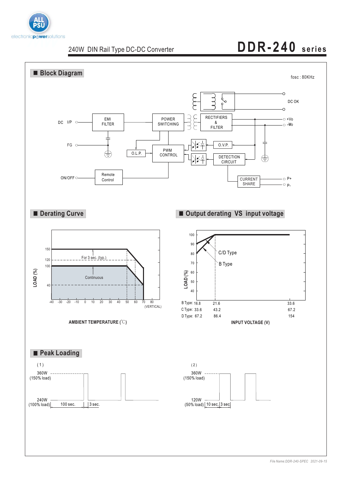

# **DDR-240 series**



*File Name:DDR-240-SPEC 2021-09-15*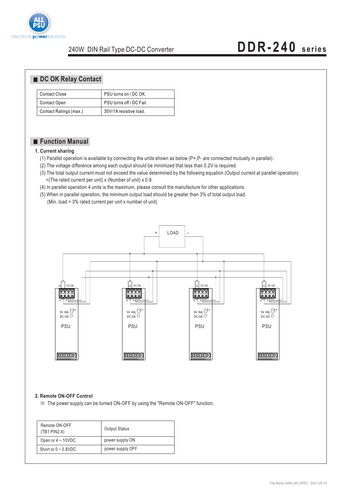

#### **DC OK Relay Contact**

| Contact Close          | PSU turns on / DC OK.    |
|------------------------|--------------------------|
| Contact Open           | PSU turns off / DC Fail. |
| Contact Ratings (max.) | 30V/1A resistive load.   |

#### **Function Manual**

#### **1. Current sharing**

- (1) Parallel operation is available by connecting the units shown as below (P+,P- are connected mutually in parallel) :
- (2) The voltage difference among each output should be minimized that less than 0.2V is required.
- (3) The total output current must not exceed the value determined by the following equation (Output current at parallel operation)  $=($ The rated current per unit) x (Number of unit) x 0.9.
- (4) In parallel operation 4 units is the maximum, please consult the manufacture for other applications.
- (5) When in parallel operation, the minimum output load should be greater than 3% of total output load.
	- (Min. load > 3% rated current per unit x number of unit)



#### **2. Remote ON-OFF Control**

※ The power supply can be turned ON-OFF by using the "Remote ON-OFF" function.

| Remote ON-OFF<br>(TB1 PIN2,4) | <b>Output Status</b> |
|-------------------------------|----------------------|
| Open or $4 \sim 10$ VDC       | power supply ON      |
| Short or $0 \sim 0.8$ VDC     | power supply OFF     |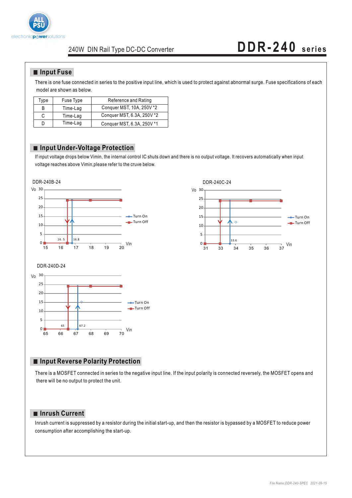

### **DDR-240 series**

#### **Input Fuse**

There is one fuse connected in series to the positive input line, which is used to protect against abnormal surge. Fuse specifications of each model are shown as below.

| Type | Fuse Type | Reference and Rating       |
|------|-----------|----------------------------|
| в    | Time-Lag  | Conquer MST, 10A, 250V *2  |
|      | Time-Lag  | Conquer MST, 6.3A, 250V *2 |
|      | Time-Lag  | Conquer MST, 6.3A, 250V *1 |

#### **Input Under-Voltage Protection**

If input voltage drops below Vimin, the internal control IC shuts down and there is no output voltage. It recovers automatically when input voltage reaches above Vimin,please refer to the cruve below.







#### **Input Reverse Polarity Protection**

There is a MOSFET connected in series to the negative input line. If the input polarity is connected reversely, the MOSFET opens and there will be no output to protect the unit.

#### **Inrush Current**

Inrush current is suppressed by a resistor during the initial start-up, and then the resistor is bypassed by a MOSFET to reduce power consumption after accomplishing the start-up.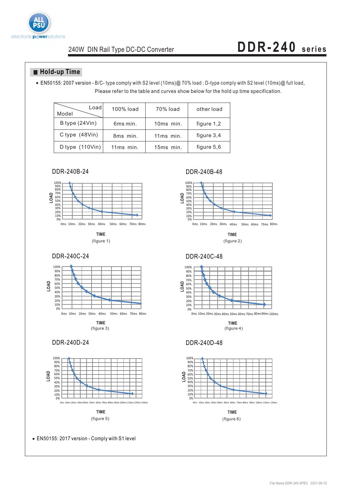

### **DDR-240 series**

#### **Hold-up Time**

Please refer to the table and curves show below for the hold up time specification. EN50155: 2007 version - B/C- type comply with S2 level (10ms)@ 70% load ; D-type comply with S2 level (10ms)@ full load,

| Loadl<br>Model                    | 100% load   | 70% load    | other load   |
|-----------------------------------|-------------|-------------|--------------|
| B type (24Vin)                    | 6ms min.    | $10ms$ min. | figure 1,2   |
| C type $(48Vin)$                  | 8ms min.    | 11ms min.   | figure $3,4$ |
| D type $(110 \text{V} \text{in})$ | $11ms$ min. | 15ms min.   | figure 5,6   |

DDR-240B-24 DDR-240B-48







**TIME**



20% 30%



EN50155: 2017 version - Comply with S1 level



**TIME**



**TIME** (figure 3) (figure 4)

#### DDR-240D-24 DDR-240D-48



**TIME**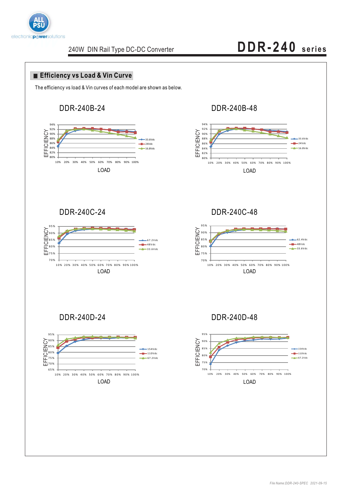

# **DDR-240 series**

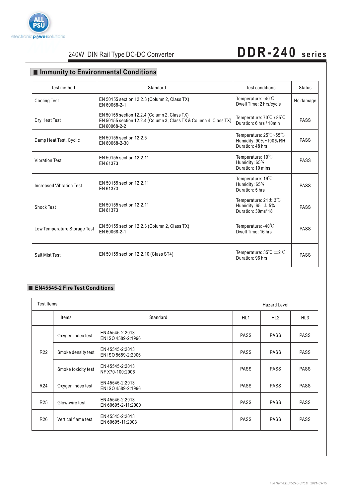

### **DDR-240 series**

### **Immunity to Environmental Conditions**

| Test method                     | Standard                                                                                                                          | Test conditions                                                                 | <b>Status</b> |
|---------------------------------|-----------------------------------------------------------------------------------------------------------------------------------|---------------------------------------------------------------------------------|---------------|
| <b>Cooling Test</b>             | EN 50155 section 12.2.3 (Column 2, Class TX)<br>EN 60068-2-1                                                                      | Temperature: $-40^{\circ}$ C<br>Dwell Time: 2 hrs/cycle                         | No damage     |
| Dry Heat Test                   | EN 50155 section 12.2.4 (Column 2, Class TX)<br>EN 50155 section 12.2.4 (Column 3, Class TX & Column 4, Class TX)<br>EN 60068-2-2 | Temperature: 70°C / 85°C<br>Duration: 6 hrs / 10min                             | <b>PASS</b>   |
| Damp Heat Test, Cyclic          | EN 50155 section 12.2.5<br>EN 60068-2-30                                                                                          | Temperature: 25°C~55°C<br>Humidity: 90%~100% RH<br>Duration: 48 hrs             | <b>PASS</b>   |
| <b>Vibration Test</b>           | EN 50155 section 12.2.11<br>EN 61373                                                                                              | Temperature: 19°C<br>Humidity: 65%<br>Duration: 10 mins                         | <b>PASS</b>   |
| <b>Increased Vibration Test</b> | EN 50155 section 12.2.11<br>EN 61373                                                                                              | Temperature: $19^{\circ}$ C<br>Humidity: 65%<br>Duration: 5 hrs                 | <b>PASS</b>   |
| <b>Shock Test</b>               | EN 50155 section 12.2.11<br>EN 61373                                                                                              | Temperature: $21 \pm 3^{\circ}$ C<br>Humidity: 65 $\pm$ 5%<br>Duration: 30ms*18 | <b>PASS</b>   |
| Low Temperature Storage Test    | EN 50155 section 12.2.3 (Column 2, Class TX)<br>EN 60068-2-1                                                                      | Temperature: $-40^{\circ}$ C<br>Dwell Time: 16 hrs                              | <b>PASS</b>   |
| Salt Mist Test                  | EN 50155 section 12.2.10 (Class ST4)                                                                                              | Temperature: $35^{\circ}C \pm 2^{\circ}C$<br>Duration: 96 hrs                   | <b>PASS</b>   |

#### **EN45545-2 Fire Test Conditions**

| Test Items      |                     |                                       |                 | <b>Hazard Level</b> |             |
|-----------------|---------------------|---------------------------------------|-----------------|---------------------|-------------|
|                 | Items               | Standard                              | HL <sub>1</sub> | HL2                 | HL3         |
|                 | Oxygen index test   | EN 45545-2:2013<br>EN ISO 4589-2:1996 | <b>PASS</b>     | <b>PASS</b>         | <b>PASS</b> |
| R <sub>22</sub> | Smoke density test  | EN 45545-2:2013<br>EN ISO 5659-2:2006 | <b>PASS</b>     | <b>PASS</b>         | <b>PASS</b> |
|                 | Smoke toxicity test | EN 45545-2:2013<br>NF X70-100:2006    | <b>PASS</b>     | <b>PASS</b>         | <b>PASS</b> |
| R <sub>24</sub> | Oxygen index test   | EN 45545-2:2013<br>EN ISO 4589-2:1996 | <b>PASS</b>     | <b>PASS</b>         | <b>PASS</b> |
| R <sub>25</sub> | Glow-wire test      | EN 45545-2:2013<br>EN 60695-2-11:2000 | <b>PASS</b>     | <b>PASS</b>         | <b>PASS</b> |
| R <sub>26</sub> | Vertical flame test | EN 45545-2:2013<br>EN 60695-11:2003   | <b>PASS</b>     | <b>PASS</b>         | <b>PASS</b> |